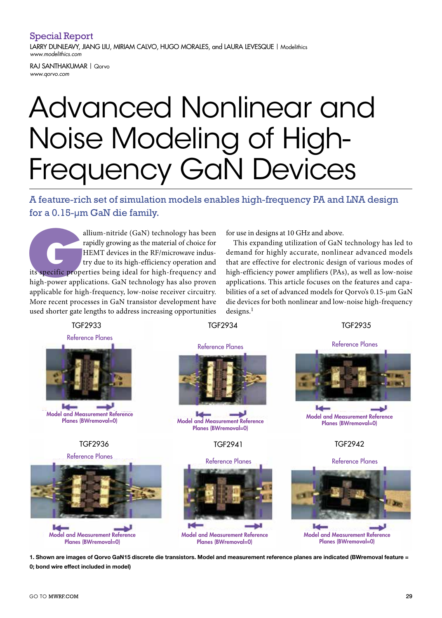## Special Report

LARRY DUNLEAVY, JIANG LIU, MIRIAM CALVO, HUGO MORALES, and LAURA LEVESQUE | Modelithics *www.modelithics.com*

RAJ SANTHAKUMAR | Qorvo *www.qorvo.com*

# Advanced Nonlinear and Noise Modeling of High-Frequency GaN Devices

A feature-rich set of simulation models enables high-frequency PA and LNA design for a 0.15-µm GaN die family.

allium-nitride (GaN) technology has been<br>rapidly growing as the material of choice for<br>HEMT devices in the RF/microwave indus-<br>try due to its high-efficiency operation and<br>its specific properties being ideal for high-frequ rapidly growing as the material of choice for HEMT devices in the RF/microwave industry due to its high-efficiency operation and its specific properties being ideal for high-frequency and high-power applications. GaN technology has also proven applicable for high-frequency, low-noise receiver circuitry. More recent processes in GaN transistor development have used shorter gate lengths to address increasing opportunities  $\,$  designs.<sup>1</sup>

for use in designs at 10 GHz and above.

This expanding utilization of GaN technology has led to demand for highly accurate, nonlinear advanced models that are effective for electronic design of various modes of high-efficiency power amplifiers (PAs), as well as low-noise applications. This article focuses on the features and capabilities of a set of advanced models for Qorvo's 0.15-µm GaN die devices for both nonlinear and low-noise high-frequency  $designs.<sup>1</sup>$ 

TGF2933



Model and Measurement Reference



Model and Measurement Reference Planes (BWremoval=0)



 $P$ **Model and Measurement Reference** Planes (BWremoval=0)

### TGF2936 TGF2941 TGF2942



Model and Measurement Reference Planes (BWremoval=0)





Planes (BWremoval=0) Model and Measurement Reference Planes (BWremoval=0)



Model and Measurement Reference Planes (BWremoval=0)

1. Shown are images of Qorvo GaN15 discrete die transistors. Model and measurement reference planes are indicated (BWremoval feature = 0; bond wire effect included in model)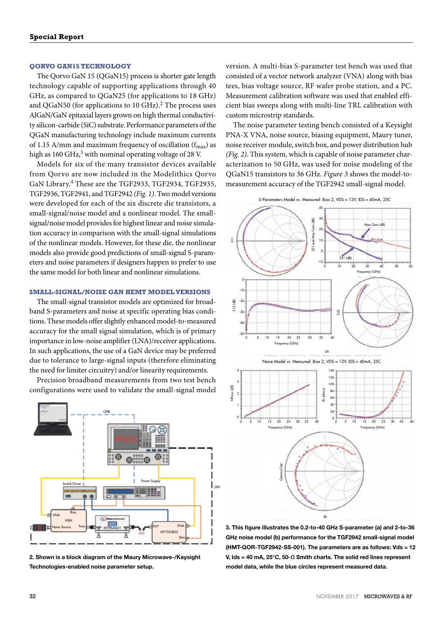#### **QORVO GAN15 TECHNOLOGY**

The Qorvo GaN 15 (QGaN15) process is shorter gate length technology capable of supporting applications through 40 GHz, as compared to QGaN25 (for applications to 18 GHz) and QGaN50 (for applications to 10 GHz).<sup>2</sup> The process uses AlGaN/GaN epitaxial layers grown on high thermal conductivity silicon-carbide (SiC) substrate. Performance parameters of the QGaN manufacturing technology include maximum currents of 1.15 A/mm and maximum frequency of oscillation  $(f_{\text{max}})$  as high as 160 GHz, $3$  with nominal operating voltage of 28 V.

Models for six of the many transistor devices available from Qorvo are now included in the Modelithics Qorvo GaN Library.4 These are the TGF2933, TGF2934, TGF2935, TGF2936, TGF2941, and TGF2942 *(Fig. 1)*. Two model versions were developed for each of the six discrete die transistors, a small-signal/noise model and a nonlinear model. The smallsignal/noise model provides for highest linear and noise simulation accuracy in comparison with the small-signal simulations of the nonlinear models. However, for these die, the nonlinear models also provide good predictions of small-signal S-parameters and noise parameters if designers happen to prefer to use the same model for both linear and nonlinear simulations.

#### **SMALL-SIGNAL/NOISE GAN HEMT MODEL VERSIONS**

The small-signal transistor models are optimized for broadband S-parameters and noise at specific operating bias conditions. These models offer slightly enhanced model-to-measured accuracy for the small signal simulation, which is of primary importance in low-noise amplifier (LNA)/receiver applications. In such applications, the use of a GaN device may be preferred due to tolerance to large-signal inputs (therefore eliminating the need for limiter circuitry) and/or linearity requirements.

Precision broadband measurements from two test bench configurations were used to validate the small-signal model



2. Shown is a block diagram of the Maury Microwave-/Keysight Technologies-enabled noise parameter setup.

version. A multi-bias S-parameter test bench was used that consisted of a vector network analyzer (VNA) along with bias tees, bias voltage source, RF wafer probe station, and a PC. Measurement calibration software was used that enabled efficient bias sweeps along with multi-line TRL calibration with custom microstrip standards.

The noise parameter testing bench consisted of a Keysight PNA-X VNA, noise source, biasing equipment, Maury tuner, noise receiver module, switch box, and power distribution hub *(Fig. 2)*. This system, which is capable of noise parameter characterization to 50 GHz, was used for noise modeling of the QGaN15 transistors to 36 GHz. *Figure 3* shows the model-tomeasurement accuracy of the TGF2942 small-signal model.



3. This figure illustrates the 0.2-to-40 GHz S-parameter (a) and 2-to-36 GHz noise model (b) performance for the TGF2942 small-signal model (HMT-QOR-TGF2942-SS-001). The parameters are as follows: Vds = 12 V, Ids = 40 mA, 25°C, 50-Ω Smith charts. The solid red lines represent model data, while the blue circles represent measured data.